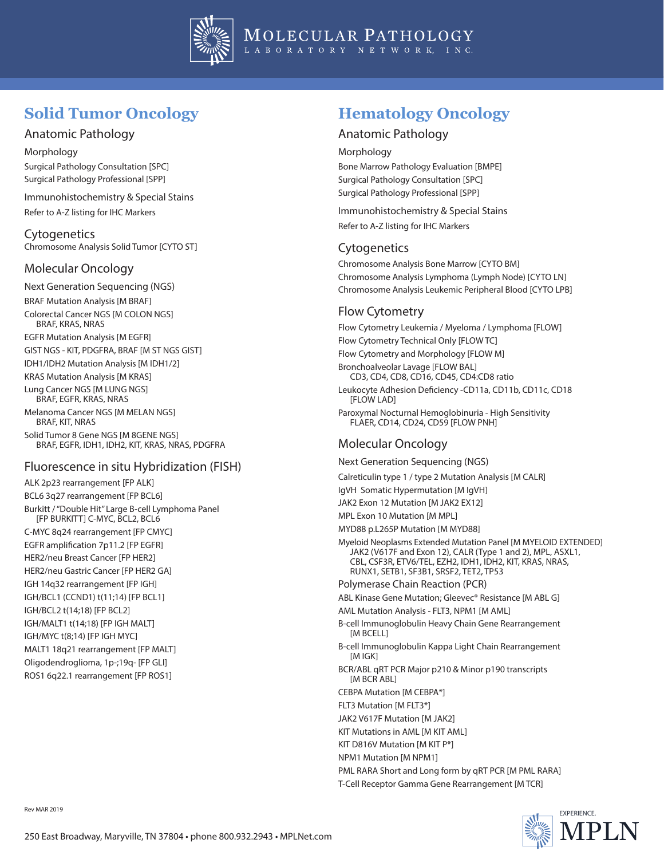

# **Solid Tumor Oncology**

### Anatomic Pathology

Morphology Surgical Pathology Consultation [SPC] Surgical Pathology Professional [SPP]

Immunohistochemistry & Special Stains Refer to A-Z listing for IHC Markers

**Cytogenetics** Chromosome Analysis Solid Tumor [CYTO ST]

### Molecular Oncology

Next Generation Sequencing (NGS) BRAF Mutation Analysis [M BRAF] Colorectal Cancer NGS [M COLON NGS] BRAF, KRAS, NRAS EGFR Mutation Analysis [M EGFR] GIST NGS - KIT, PDGFRA, BRAF [M ST NGS GIST] IDH1/IDH2 Mutation Analysis [M IDH1/2] KRAS Mutation Analysis [M KRAS] Lung Cancer NGS [M LUNG NGS] BRAF, EGFR, KRAS, NRAS Melanoma Cancer NGS [M MELAN NGS] BRAF, KIT, NRAS Solid Tumor 8 Gene NGS [M 8GENE NGS] BRAF, EGFR, IDH1, IDH2, KIT, KRAS, NRAS, PDGFRA

### Fluorescence in situ Hybridization (FISH)

ALK 2p23 rearrangement [FP ALK] BCL6 3q27 rearrangement [FP BCL6] Burkitt / "Double Hit" Large B-cell Lymphoma Panel [FP BURKITT] C-MYC, BCL2, BCL6 C-MYC 8q24 rearrangement [FP CMYC] EGFR amplification 7p11.2 [FP EGFR] HER2/neu Breast Cancer [FP HER2] HER2/neu Gastric Cancer [FP HER2 GA] IGH 14q32 rearrangement [FP IGH] IGH/BCL1 (CCND1) t(11;14) [FP BCL1] IGH/BCL2 t(14;18) [FP BCL2] IGH/MALT1 t(14;18) [FP IGH MALT] IGH/MYC t(8;14) [FP IGH MYC] MALT1 18q21 rearrangement [FP MALT] Oligodendroglioma, 1p-;19q- [FP GLI] ROS1 6q22.1 rearrangement [FP ROS1]

# **Hematology Oncology**

### Anatomic Pathology

Morphology

Bone Marrow Pathology Evaluation [BMPE] Surgical Pathology Consultation [SPC] Surgical Pathology Professional [SPP]

Immunohistochemistry & Special Stains Refer to A-Z listing for IHC Markers

### **Cytogenetics**

Chromosome Analysis Bone Marrow [CYTO BM] Chromosome Analysis Lymphoma (Lymph Node) [CYTO LN] Chromosome Analysis Leukemic Peripheral Blood [CYTO LPB]

# Flow Cytometry

Flow Cytometry Leukemia / Myeloma / Lymphoma [FLOW] Flow Cytometry Technical Only [FLOW TC] Flow Cytometry and Morphology [FLOW M] Bronchoalveolar Lavage [FLOW BAL] CD3, CD4, CD8, CD16, CD45, CD4:CD8 ratio Leukocyte Adhesion Deficiency -CD11a, CD11b, CD11c, CD18 **[FLOW LAD]** Paroxymal Nocturnal Hemoglobinuria - High Sensitivity FLAER, CD14, CD24, CD59 [FLOW PNH]

## Molecular Oncology

Next Generation Sequencing (NGS)

Calreticulin type 1 / type 2 Mutation Analysis [M CALR]

IgVH Somatic Hypermutation [M IgVH]

JAK2 Exon 12 Mutation [M JAK2 EX12]

MPL Exon 10 Mutation [M MPL]

MYD88 p.L265P Mutation [M MYD88]

Myeloid Neoplasms Extended Mutation Panel [M MYELOID EXTENDED] JAK2 (V617F and Exon 12), CALR (Type 1 and 2), MPL, ASXL1, CBL, CSF3R, ETV6/TEL, EZH2, IDH1, IDH2, KIT, KRAS, NRAS, RUNX1, SETB1, SF3B1, SRSF2, TET2, TP53

#### Polymerase Chain Reaction (PCR)

ABL Kinase Gene Mutation; Gleevec® Resistance [M ABL G]

AML Mutation Analysis - FLT3, NPM1 [M AML]

- B-cell Immunoglobulin Heavy Chain Gene Rearrangement [M BCELL]
- B-cell Immunoglobulin Kappa Light Chain Rearrangement [M IGK]
- BCR/ABL qRT PCR Major p210 & Minor p190 transcripts [M BCR ABL]

CEBPA Mutation [M CEBPA\*]

FLT3 Mutation [M FLT3\*]

JAK2 V617F Mutation [M JAK2]

KIT Mutations in AML [M KIT AML]

KIT D816V Mutation [M KIT P\*]

NPM1 Mutation [M NPM1]

PML RARA Short and Long form by qRT PCR [M PML RARA] T-Cell Receptor Gamma Gene Rearrangement [M TCR]